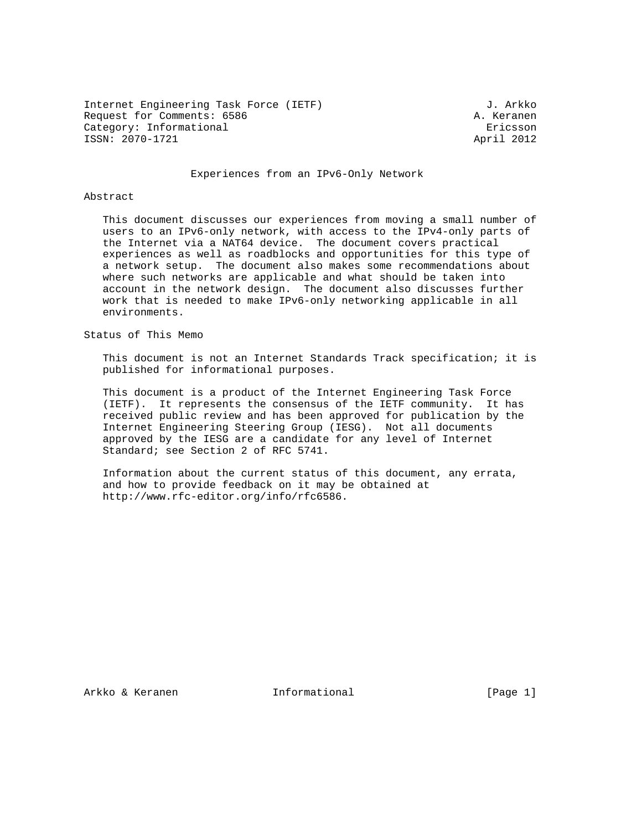Internet Engineering Task Force (IETF) 3. Arkko Request for Comments: 6586 A. Keranen Category: Informational extension of the Ericsson ISSN: 2070-1721 April 2012

#### Experiences from an IPv6-Only Network

### Abstract

 This document discusses our experiences from moving a small number of users to an IPv6-only network, with access to the IPv4-only parts of the Internet via a NAT64 device. The document covers practical experiences as well as roadblocks and opportunities for this type of a network setup. The document also makes some recommendations about where such networks are applicable and what should be taken into account in the network design. The document also discusses further work that is needed to make IPv6-only networking applicable in all environments.

Status of This Memo

 This document is not an Internet Standards Track specification; it is published for informational purposes.

 This document is a product of the Internet Engineering Task Force (IETF). It represents the consensus of the IETF community. It has received public review and has been approved for publication by the Internet Engineering Steering Group (IESG). Not all documents approved by the IESG are a candidate for any level of Internet Standard; see Section 2 of RFC 5741.

 Information about the current status of this document, any errata, and how to provide feedback on it may be obtained at http://www.rfc-editor.org/info/rfc6586.

Arkko & Keranen 10 Informational 1999 [Page 1]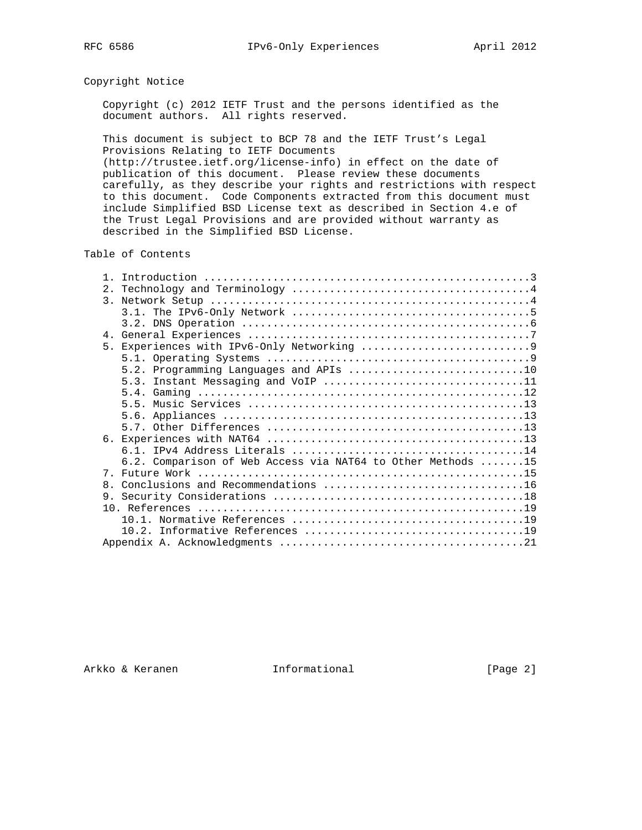# Copyright Notice

 Copyright (c) 2012 IETF Trust and the persons identified as the document authors. All rights reserved.

 This document is subject to BCP 78 and the IETF Trust's Legal Provisions Relating to IETF Documents

 (http://trustee.ietf.org/license-info) in effect on the date of publication of this document. Please review these documents carefully, as they describe your rights and restrictions with respect to this document. Code Components extracted from this document must include Simplified BSD License text as described in Section 4.e of the Trust Legal Provisions and are provided without warranty as described in the Simplified BSD License.

# Table of Contents

| 2.                                                          |
|-------------------------------------------------------------|
| $\overline{3}$ .                                            |
|                                                             |
|                                                             |
|                                                             |
|                                                             |
|                                                             |
| 5.2. Programming Languages and APIs 10                      |
| 5.3. Instant Messaging and VoIP 11                          |
|                                                             |
|                                                             |
|                                                             |
|                                                             |
|                                                             |
|                                                             |
| 6.2. Comparison of Web Access via NAT64 to Other Methods 15 |
| 7 <sub>1</sub>                                              |
| $\mathsf{R}$                                                |
|                                                             |
|                                                             |
|                                                             |
|                                                             |
|                                                             |

Arkko & Keranen 1nformational (Page 2)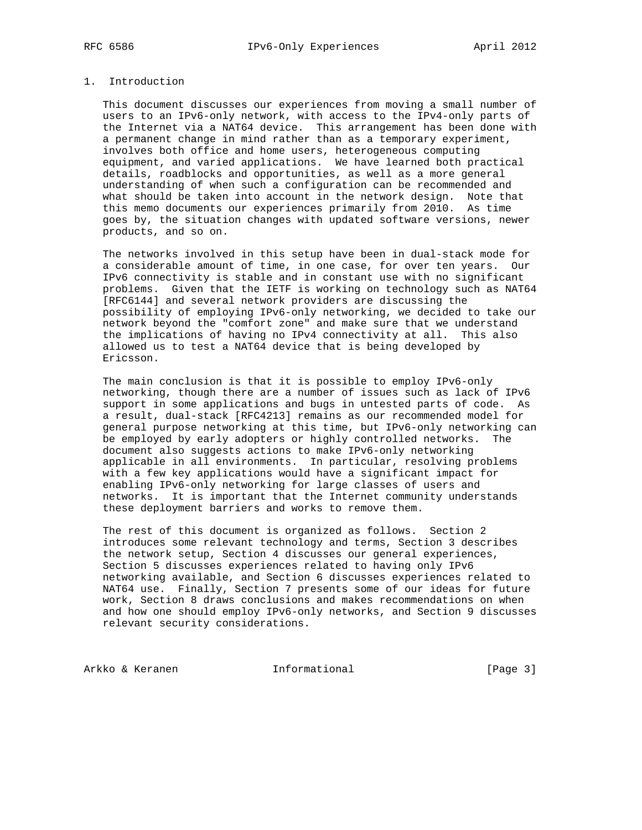# 1. Introduction

 This document discusses our experiences from moving a small number of users to an IPv6-only network, with access to the IPv4-only parts of the Internet via a NAT64 device. This arrangement has been done with a permanent change in mind rather than as a temporary experiment, involves both office and home users, heterogeneous computing equipment, and varied applications. We have learned both practical details, roadblocks and opportunities, as well as a more general understanding of when such a configuration can be recommended and what should be taken into account in the network design. Note that this memo documents our experiences primarily from 2010. As time goes by, the situation changes with updated software versions, newer products, and so on.

 The networks involved in this setup have been in dual-stack mode for a considerable amount of time, in one case, for over ten years. Our IPv6 connectivity is stable and in constant use with no significant problems. Given that the IETF is working on technology such as NAT64 [RFC6144] and several network providers are discussing the possibility of employing IPv6-only networking, we decided to take our network beyond the "comfort zone" and make sure that we understand the implications of having no IPv4 connectivity at all. This also allowed us to test a NAT64 device that is being developed by Ericsson.

 The main conclusion is that it is possible to employ IPv6-only networking, though there are a number of issues such as lack of IPv6 support in some applications and bugs in untested parts of code. As a result, dual-stack [RFC4213] remains as our recommended model for general purpose networking at this time, but IPv6-only networking can be employed by early adopters or highly controlled networks. The document also suggests actions to make IPv6-only networking applicable in all environments. In particular, resolving problems with a few key applications would have a significant impact for enabling IPv6-only networking for large classes of users and networks. It is important that the Internet community understands these deployment barriers and works to remove them.

 The rest of this document is organized as follows. Section 2 introduces some relevant technology and terms, Section 3 describes the network setup, Section 4 discusses our general experiences, Section 5 discusses experiences related to having only IPv6 networking available, and Section 6 discusses experiences related to NAT64 use. Finally, Section 7 presents some of our ideas for future work, Section 8 draws conclusions and makes recommendations on when and how one should employ IPv6-only networks, and Section 9 discusses relevant security considerations.

Arkko & Keranen 1nformational [Page 3]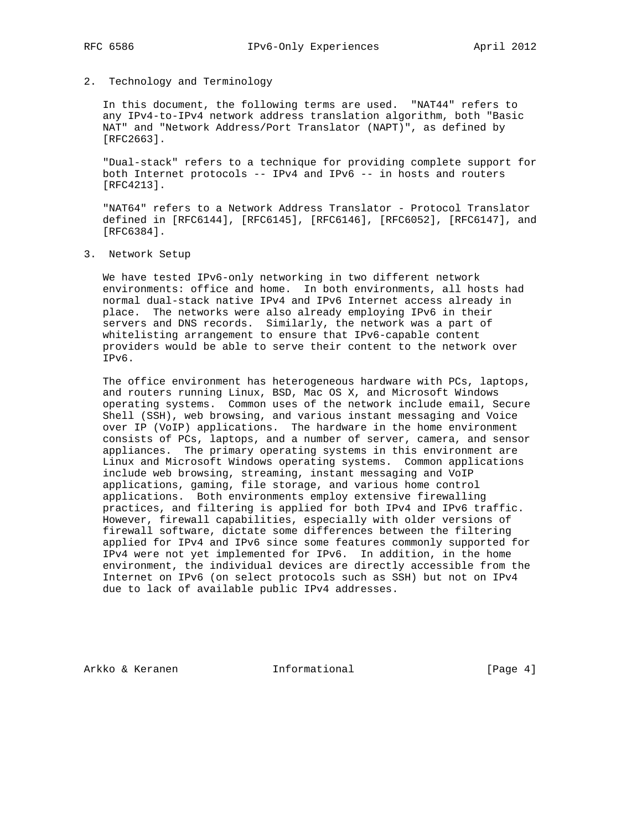## 2. Technology and Terminology

 In this document, the following terms are used. "NAT44" refers to any IPv4-to-IPv4 network address translation algorithm, both "Basic NAT" and "Network Address/Port Translator (NAPT)", as defined by [RFC2663].

 "Dual-stack" refers to a technique for providing complete support for both Internet protocols -- IPv4 and IPv6 -- in hosts and routers [RFC4213].

 "NAT64" refers to a Network Address Translator - Protocol Translator defined in [RFC6144], [RFC6145], [RFC6146], [RFC6052], [RFC6147], and [RFC6384].

3. Network Setup

 We have tested IPv6-only networking in two different network environments: office and home. In both environments, all hosts had normal dual-stack native IPv4 and IPv6 Internet access already in place. The networks were also already employing IPv6 in their servers and DNS records. Similarly, the network was a part of whitelisting arrangement to ensure that IPv6-capable content providers would be able to serve their content to the network over IPv6.

 The office environment has heterogeneous hardware with PCs, laptops, and routers running Linux, BSD, Mac OS X, and Microsoft Windows operating systems. Common uses of the network include email, Secure Shell (SSH), web browsing, and various instant messaging and Voice over IP (VoIP) applications. The hardware in the home environment consists of PCs, laptops, and a number of server, camera, and sensor appliances. The primary operating systems in this environment are Linux and Microsoft Windows operating systems. Common applications include web browsing, streaming, instant messaging and VoIP applications, gaming, file storage, and various home control applications. Both environments employ extensive firewalling practices, and filtering is applied for both IPv4 and IPv6 traffic. However, firewall capabilities, especially with older versions of firewall software, dictate some differences between the filtering applied for IPv4 and IPv6 since some features commonly supported for IPv4 were not yet implemented for IPv6. In addition, in the home environment, the individual devices are directly accessible from the Internet on IPv6 (on select protocols such as SSH) but not on IPv4 due to lack of available public IPv4 addresses.

Arkko & Keranen 1nformational (Page 4)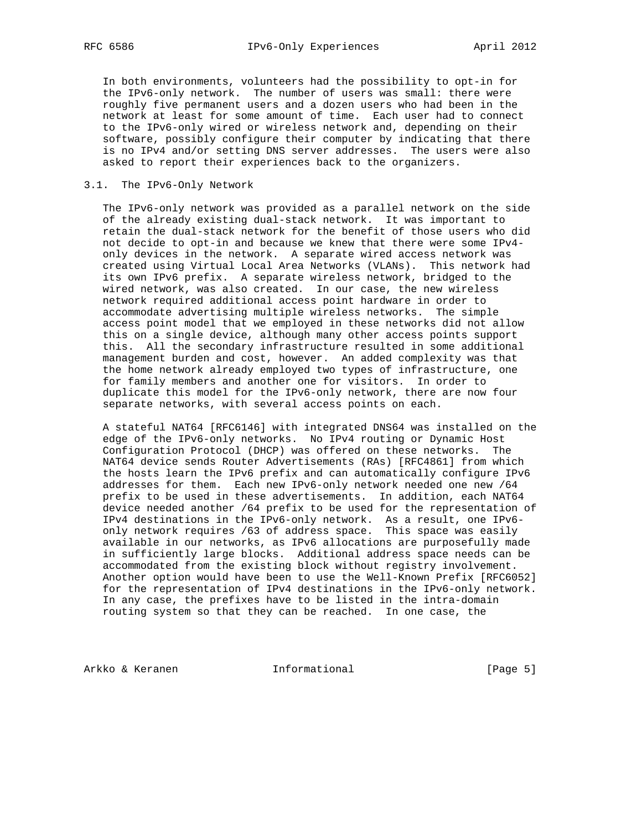In both environments, volunteers had the possibility to opt-in for the IPv6-only network. The number of users was small: there were roughly five permanent users and a dozen users who had been in the network at least for some amount of time. Each user had to connect to the IPv6-only wired or wireless network and, depending on their software, possibly configure their computer by indicating that there is no IPv4 and/or setting DNS server addresses. The users were also asked to report their experiences back to the organizers.

# 3.1. The IPv6-Only Network

 The IPv6-only network was provided as a parallel network on the side of the already existing dual-stack network. It was important to retain the dual-stack network for the benefit of those users who did not decide to opt-in and because we knew that there were some IPv4 only devices in the network. A separate wired access network was created using Virtual Local Area Networks (VLANs). This network had its own IPv6 prefix. A separate wireless network, bridged to the wired network, was also created. In our case, the new wireless network required additional access point hardware in order to accommodate advertising multiple wireless networks. The simple access point model that we employed in these networks did not allow this on a single device, although many other access points support this. All the secondary infrastructure resulted in some additional management burden and cost, however. An added complexity was that the home network already employed two types of infrastructure, one for family members and another one for visitors. In order to duplicate this model for the IPv6-only network, there are now four separate networks, with several access points on each.

 A stateful NAT64 [RFC6146] with integrated DNS64 was installed on the edge of the IPv6-only networks. No IPv4 routing or Dynamic Host Configuration Protocol (DHCP) was offered on these networks. The NAT64 device sends Router Advertisements (RAs) [RFC4861] from which the hosts learn the IPv6 prefix and can automatically configure IPv6 addresses for them. Each new IPv6-only network needed one new /64 prefix to be used in these advertisements. In addition, each NAT64 device needed another /64 prefix to be used for the representation of IPv4 destinations in the IPv6-only network. As a result, one IPv6 only network requires /63 of address space. This space was easily available in our networks, as IPv6 allocations are purposefully made in sufficiently large blocks. Additional address space needs can be accommodated from the existing block without registry involvement. Another option would have been to use the Well-Known Prefix [RFC6052] for the representation of IPv4 destinations in the IPv6-only network. In any case, the prefixes have to be listed in the intra-domain routing system so that they can be reached. In one case, the

Arkko & Keranen 1nformational [Page 5]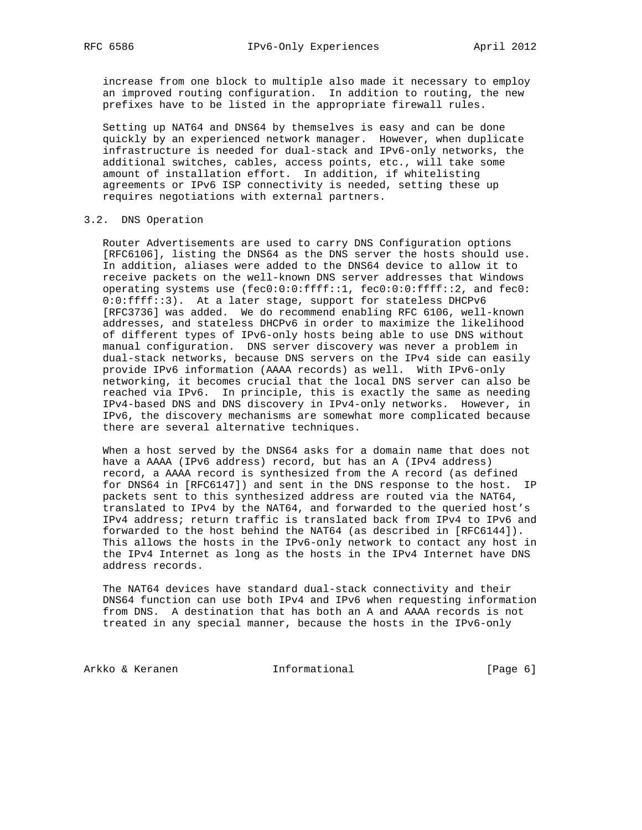increase from one block to multiple also made it necessary to employ an improved routing configuration. In addition to routing, the new prefixes have to be listed in the appropriate firewall rules.

 Setting up NAT64 and DNS64 by themselves is easy and can be done quickly by an experienced network manager. However, when duplicate infrastructure is needed for dual-stack and IPv6-only networks, the additional switches, cables, access points, etc., will take some amount of installation effort. In addition, if whitelisting agreements or IPv6 ISP connectivity is needed, setting these up requires negotiations with external partners.

# 3.2. DNS Operation

 Router Advertisements are used to carry DNS Configuration options [RFC6106], listing the DNS64 as the DNS server the hosts should use. In addition, aliases were added to the DNS64 device to allow it to receive packets on the well-known DNS server addresses that Windows operating systems use (fec0:0:0:ffff::1, fec0:0:0:ffff::2, and fec0: 0:0:ffff::3). At a later stage, support for stateless DHCPv6 [RFC3736] was added. We do recommend enabling RFC 6106, well-known addresses, and stateless DHCPv6 in order to maximize the likelihood of different types of IPv6-only hosts being able to use DNS without manual configuration. DNS server discovery was never a problem in dual-stack networks, because DNS servers on the IPv4 side can easily provide IPv6 information (AAAA records) as well. With IPv6-only networking, it becomes crucial that the local DNS server can also be reached via IPv6. In principle, this is exactly the same as needing IPv4-based DNS and DNS discovery in IPv4-only networks. However, in IPv6, the discovery mechanisms are somewhat more complicated because there are several alternative techniques.

 When a host served by the DNS64 asks for a domain name that does not have a AAAA (IPv6 address) record, but has an A (IPv4 address) record, a AAAA record is synthesized from the A record (as defined for DNS64 in [RFC6147]) and sent in the DNS response to the host. IP packets sent to this synthesized address are routed via the NAT64, translated to IPv4 by the NAT64, and forwarded to the queried host's IPv4 address; return traffic is translated back from IPv4 to IPv6 and forwarded to the host behind the NAT64 (as described in [RFC6144]). This allows the hosts in the IPv6-only network to contact any host in the IPv4 Internet as long as the hosts in the IPv4 Internet have DNS address records.

 The NAT64 devices have standard dual-stack connectivity and their DNS64 function can use both IPv4 and IPv6 when requesting information from DNS. A destination that has both an A and AAAA records is not treated in any special manner, because the hosts in the IPv6-only

Arkko & Keranen 1nformational (Page 6)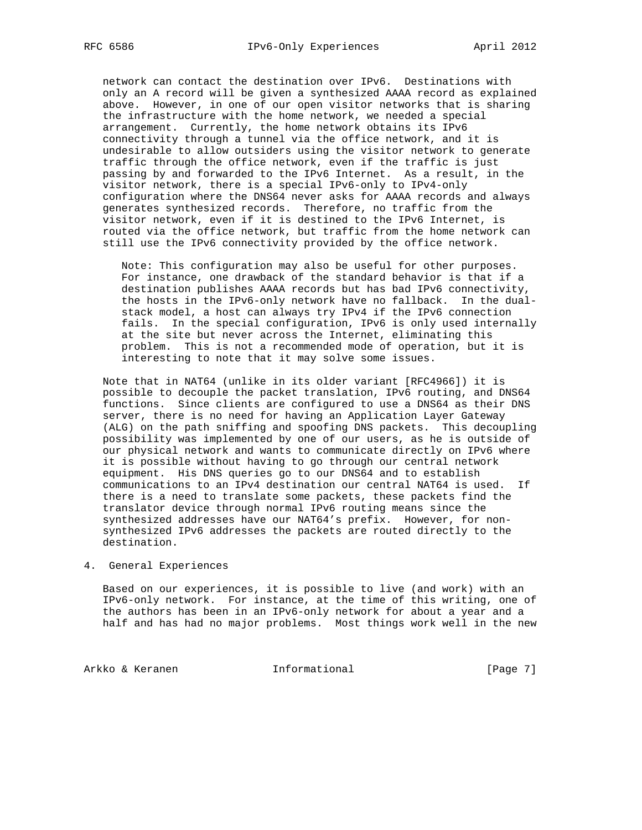network can contact the destination over IPv6. Destinations with only an A record will be given a synthesized AAAA record as explained above. However, in one of our open visitor networks that is sharing the infrastructure with the home network, we needed a special arrangement. Currently, the home network obtains its IPv6 connectivity through a tunnel via the office network, and it is undesirable to allow outsiders using the visitor network to generate traffic through the office network, even if the traffic is just passing by and forwarded to the IPv6 Internet. As a result, in the visitor network, there is a special IPv6-only to IPv4-only configuration where the DNS64 never asks for AAAA records and always generates synthesized records. Therefore, no traffic from the visitor network, even if it is destined to the IPv6 Internet, is routed via the office network, but traffic from the home network can still use the IPv6 connectivity provided by the office network.

 Note: This configuration may also be useful for other purposes. For instance, one drawback of the standard behavior is that if a destination publishes AAAA records but has bad IPv6 connectivity, the hosts in the IPv6-only network have no fallback. In the dual stack model, a host can always try IPv4 if the IPv6 connection fails. In the special configuration, IPv6 is only used internally at the site but never across the Internet, eliminating this problem. This is not a recommended mode of operation, but it is interesting to note that it may solve some issues.

 Note that in NAT64 (unlike in its older variant [RFC4966]) it is possible to decouple the packet translation, IPv6 routing, and DNS64 functions. Since clients are configured to use a DNS64 as their DNS server, there is no need for having an Application Layer Gateway (ALG) on the path sniffing and spoofing DNS packets. This decoupling possibility was implemented by one of our users, as he is outside of our physical network and wants to communicate directly on IPv6 where it is possible without having to go through our central network equipment. His DNS queries go to our DNS64 and to establish communications to an IPv4 destination our central NAT64 is used. If there is a need to translate some packets, these packets find the translator device through normal IPv6 routing means since the synthesized addresses have our NAT64's prefix. However, for non synthesized IPv6 addresses the packets are routed directly to the destination.

# 4. General Experiences

 Based on our experiences, it is possible to live (and work) with an IPv6-only network. For instance, at the time of this writing, one of the authors has been in an IPv6-only network for about a year and a half and has had no major problems. Most things work well in the new

Arkko & Keranen 1nformational (Page 7)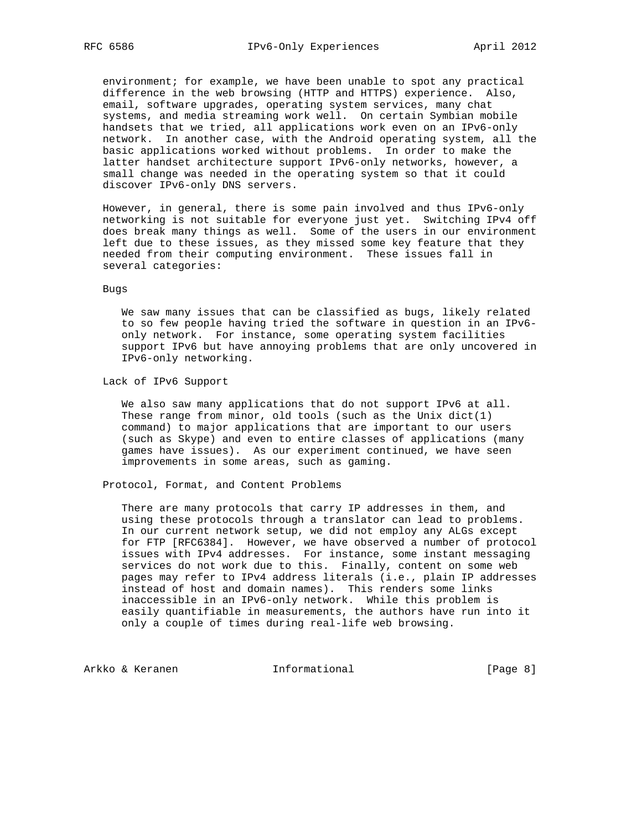environment; for example, we have been unable to spot any practical difference in the web browsing (HTTP and HTTPS) experience. Also, email, software upgrades, operating system services, many chat systems, and media streaming work well. On certain Symbian mobile handsets that we tried, all applications work even on an IPv6-only network. In another case, with the Android operating system, all the basic applications worked without problems. In order to make the latter handset architecture support IPv6-only networks, however, a small change was needed in the operating system so that it could discover IPv6-only DNS servers.

 However, in general, there is some pain involved and thus IPv6-only networking is not suitable for everyone just yet. Switching IPv4 off does break many things as well. Some of the users in our environment left due to these issues, as they missed some key feature that they needed from their computing environment. These issues fall in several categories:

#### Bugs

 We saw many issues that can be classified as bugs, likely related to so few people having tried the software in question in an IPv6 only network. For instance, some operating system facilities support IPv6 but have annoying problems that are only uncovered in IPv6-only networking.

Lack of IPv6 Support

 We also saw many applications that do not support IPv6 at all. These range from minor, old tools (such as the Unix  $dict(1)$  command) to major applications that are important to our users (such as Skype) and even to entire classes of applications (many games have issues). As our experiment continued, we have seen improvements in some areas, such as gaming.

Protocol, Format, and Content Problems

 There are many protocols that carry IP addresses in them, and using these protocols through a translator can lead to problems. In our current network setup, we did not employ any ALGs except for FTP [RFC6384]. However, we have observed a number of protocol issues with IPv4 addresses. For instance, some instant messaging services do not work due to this. Finally, content on some web pages may refer to IPv4 address literals (i.e., plain IP addresses instead of host and domain names). This renders some links inaccessible in an IPv6-only network. While this problem is easily quantifiable in measurements, the authors have run into it only a couple of times during real-life web browsing.

Arkko & Keranen 1nformational [Page 8]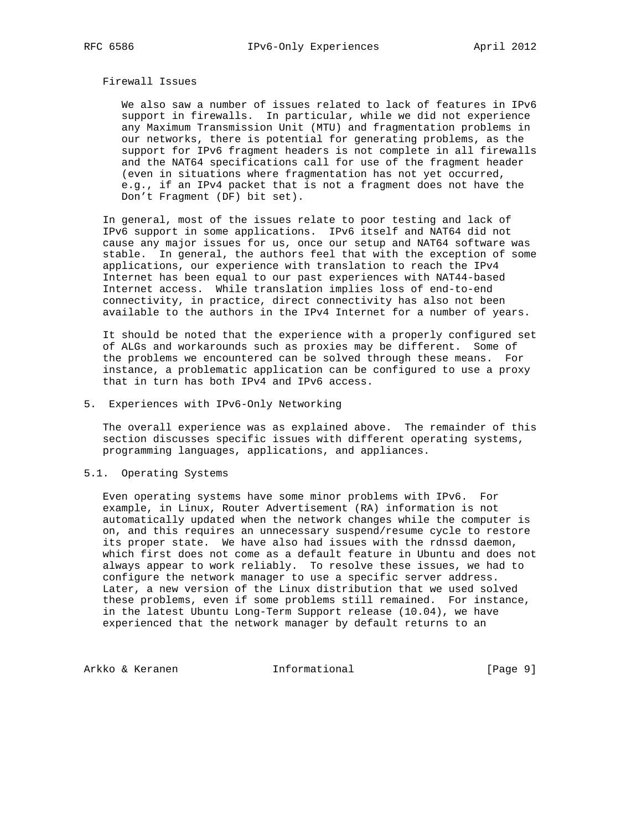# Firewall Issues

 We also saw a number of issues related to lack of features in IPv6 support in firewalls. In particular, while we did not experience any Maximum Transmission Unit (MTU) and fragmentation problems in our networks, there is potential for generating problems, as the support for IPv6 fragment headers is not complete in all firewalls and the NAT64 specifications call for use of the fragment header (even in situations where fragmentation has not yet occurred, e.g., if an IPv4 packet that is not a fragment does not have the Don't Fragment (DF) bit set).

 In general, most of the issues relate to poor testing and lack of IPv6 support in some applications. IPv6 itself and NAT64 did not cause any major issues for us, once our setup and NAT64 software was stable. In general, the authors feel that with the exception of some applications, our experience with translation to reach the IPv4 Internet has been equal to our past experiences with NAT44-based Internet access. While translation implies loss of end-to-end connectivity, in practice, direct connectivity has also not been available to the authors in the IPv4 Internet for a number of years.

 It should be noted that the experience with a properly configured set of ALGs and workarounds such as proxies may be different. Some of the problems we encountered can be solved through these means. For instance, a problematic application can be configured to use a proxy that in turn has both IPv4 and IPv6 access.

#### 5. Experiences with IPv6-Only Networking

 The overall experience was as explained above. The remainder of this section discusses specific issues with different operating systems, programming languages, applications, and appliances.

## 5.1. Operating Systems

 Even operating systems have some minor problems with IPv6. For example, in Linux, Router Advertisement (RA) information is not automatically updated when the network changes while the computer is on, and this requires an unnecessary suspend/resume cycle to restore its proper state. We have also had issues with the rdnssd daemon, which first does not come as a default feature in Ubuntu and does not always appear to work reliably. To resolve these issues, we had to configure the network manager to use a specific server address. Later, a new version of the Linux distribution that we used solved these problems, even if some problems still remained. For instance, in the latest Ubuntu Long-Term Support release (10.04), we have experienced that the network manager by default returns to an

Arkko & Keranen 1nformational [Page 9]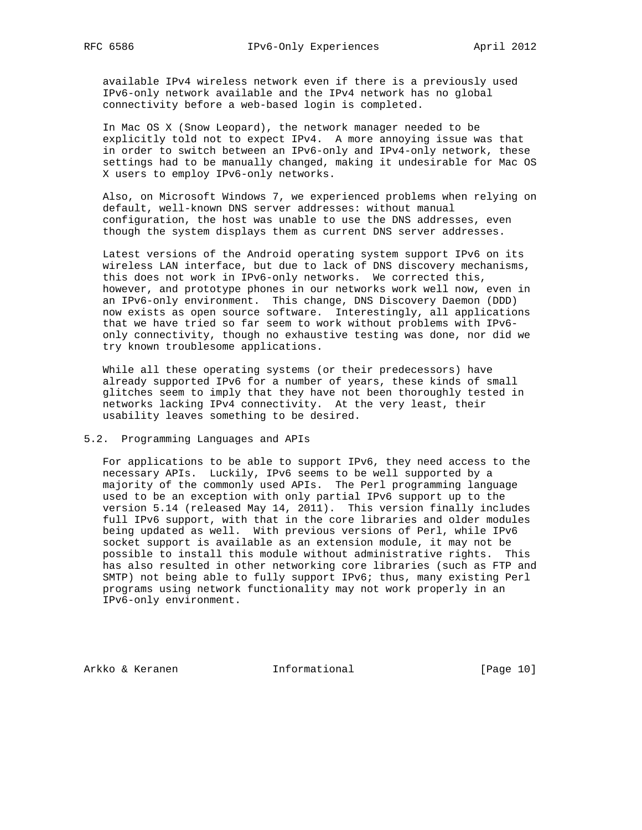available IPv4 wireless network even if there is a previously used IPv6-only network available and the IPv4 network has no global connectivity before a web-based login is completed.

 In Mac OS X (Snow Leopard), the network manager needed to be explicitly told not to expect IPv4. A more annoying issue was that in order to switch between an IPv6-only and IPv4-only network, these settings had to be manually changed, making it undesirable for Mac OS X users to employ IPv6-only networks.

 Also, on Microsoft Windows 7, we experienced problems when relying on default, well-known DNS server addresses: without manual configuration, the host was unable to use the DNS addresses, even though the system displays them as current DNS server addresses.

 Latest versions of the Android operating system support IPv6 on its wireless LAN interface, but due to lack of DNS discovery mechanisms, this does not work in IPv6-only networks. We corrected this, however, and prototype phones in our networks work well now, even in an IPv6-only environment. This change, DNS Discovery Daemon (DDD) now exists as open source software. Interestingly, all applications that we have tried so far seem to work without problems with IPv6 only connectivity, though no exhaustive testing was done, nor did we try known troublesome applications.

 While all these operating systems (or their predecessors) have already supported IPv6 for a number of years, these kinds of small glitches seem to imply that they have not been thoroughly tested in networks lacking IPv4 connectivity. At the very least, their usability leaves something to be desired.

#### 5.2. Programming Languages and APIs

 For applications to be able to support IPv6, they need access to the necessary APIs. Luckily, IPv6 seems to be well supported by a majority of the commonly used APIs. The Perl programming language used to be an exception with only partial IPv6 support up to the version 5.14 (released May 14, 2011). This version finally includes full IPv6 support, with that in the core libraries and older modules being updated as well. With previous versions of Perl, while IPv6 socket support is available as an extension module, it may not be possible to install this module without administrative rights. This has also resulted in other networking core libraries (such as FTP and SMTP) not being able to fully support IPv6; thus, many existing Perl programs using network functionality may not work properly in an IPv6-only environment.

Arkko & Keranen 1nformational [Page 10]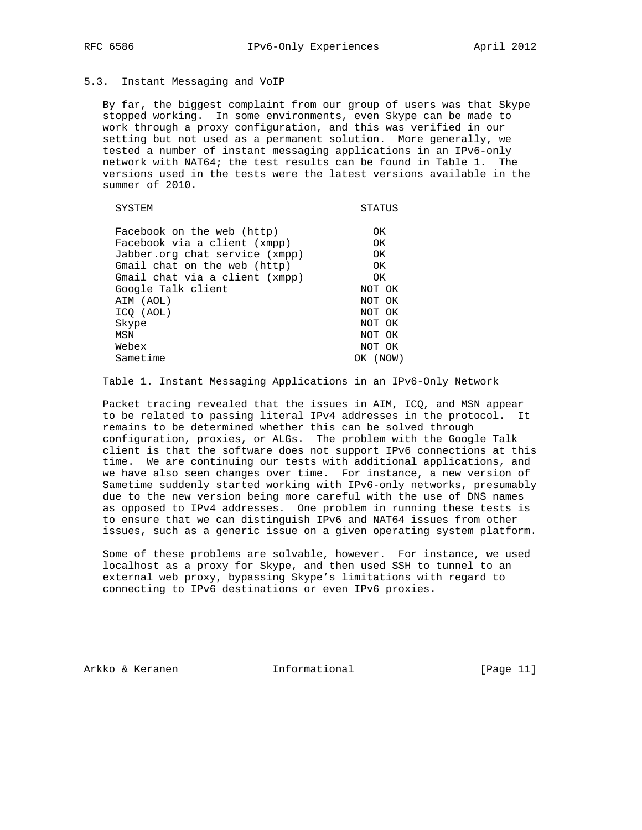# 5.3. Instant Messaging and VoIP

 By far, the biggest complaint from our group of users was that Skype stopped working. In some environments, even Skype can be made to work through a proxy configuration, and this was verified in our setting but not used as a permanent solution. More generally, we tested a number of instant messaging applications in an IPv6-only network with NAT64; the test results can be found in Table 1. The versions used in the tests were the latest versions available in the summer of 2010.

| SYSTEM                         | STATUS   |
|--------------------------------|----------|
| Facebook on the web (http)     | OK       |
| Facebook via a client (xmpp)   | OK       |
| Jabber.org chat service (xmpp) | OK       |
| Gmail chat on the web (http)   | OK.      |
| Gmail chat via a client (xmpp) | OK.      |
| Google Talk client             | NOT OK   |
| AIM (AOL)                      | NOT OK   |
| ICO (AOL)                      | NOT OK   |
| Skype                          | NOT OK   |
| MSN                            | NOT OK   |
| Webex                          | NOT OK   |
| Sametime                       | OK (NOW) |

Table 1. Instant Messaging Applications in an IPv6-Only Network

 Packet tracing revealed that the issues in AIM, ICQ, and MSN appear to be related to passing literal IPv4 addresses in the protocol. It remains to be determined whether this can be solved through configuration, proxies, or ALGs. The problem with the Google Talk client is that the software does not support IPv6 connections at this time. We are continuing our tests with additional applications, and we have also seen changes over time. For instance, a new version of Sametime suddenly started working with IPv6-only networks, presumably due to the new version being more careful with the use of DNS names as opposed to IPv4 addresses. One problem in running these tests is to ensure that we can distinguish IPv6 and NAT64 issues from other issues, such as a generic issue on a given operating system platform.

 Some of these problems are solvable, however. For instance, we used localhost as a proxy for Skype, and then used SSH to tunnel to an external web proxy, bypassing Skype's limitations with regard to connecting to IPv6 destinations or even IPv6 proxies.

Arkko & Keranen 1nformational [Page 11]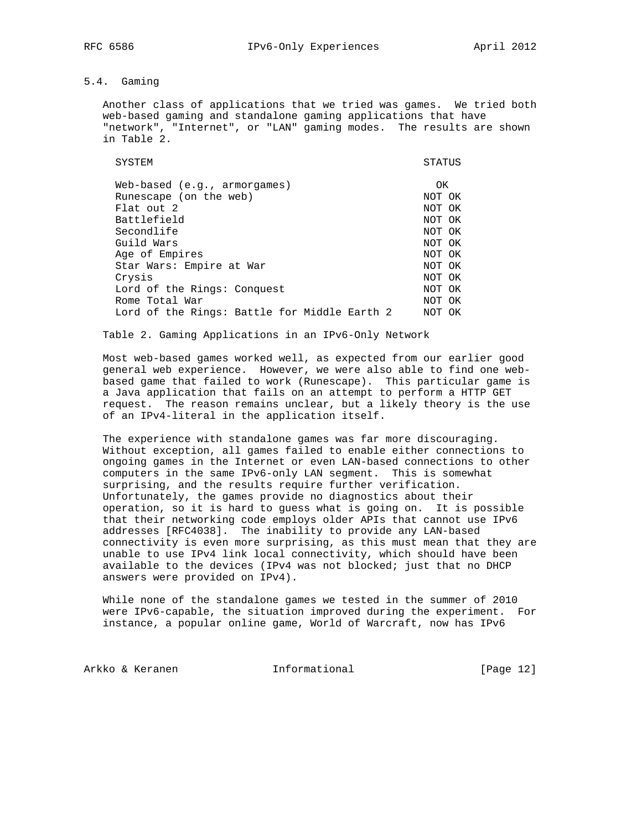# 5.4. Gaming

 Another class of applications that we tried was games. We tried both web-based gaming and standalone gaming applications that have "network", "Internet", or "LAN" gaming modes. The results are shown in Table 2.

SYSTEM STATUS Web-based (e.g., armorgames) OK Runescape (on the web) NOT OK Flat out 2 NOT OK NOT OR Battlefield Battlefield NOT OK<br>Secondlife NOT OK Secondlife NOT OK<br>Guild Wars NOT OK Guild Wars Age of Empires NOT OK Star Wars: Empire at War<br>Crysis NOT OK Crysis Lord of the Rings: Conquest NOT OK Rome Total War North Communications and MOT OK Lord of the Rings: Battle for Middle Earth 2 NOT OK

Table 2. Gaming Applications in an IPv6-Only Network

 Most web-based games worked well, as expected from our earlier good general web experience. However, we were also able to find one web based game that failed to work (Runescape). This particular game is a Java application that fails on an attempt to perform a HTTP GET request. The reason remains unclear, but a likely theory is the use of an IPv4-literal in the application itself.

 The experience with standalone games was far more discouraging. Without exception, all games failed to enable either connections to ongoing games in the Internet or even LAN-based connections to other computers in the same IPv6-only LAN segment. This is somewhat surprising, and the results require further verification. Unfortunately, the games provide no diagnostics about their operation, so it is hard to guess what is going on. It is possible that their networking code employs older APIs that cannot use IPv6 addresses [RFC4038]. The inability to provide any LAN-based connectivity is even more surprising, as this must mean that they are unable to use IPv4 link local connectivity, which should have been available to the devices (IPv4 was not blocked; just that no DHCP answers were provided on IPv4).

 While none of the standalone games we tested in the summer of 2010 were IPv6-capable, the situation improved during the experiment. For instance, a popular online game, World of Warcraft, now has IPv6

Arkko & Keranen 1nformational [Page 12]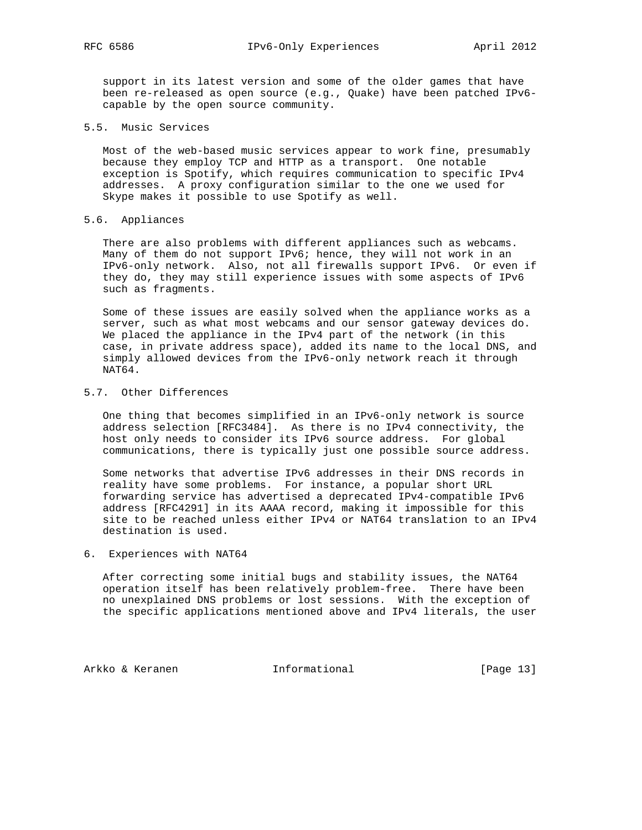support in its latest version and some of the older games that have been re-released as open source (e.g., Quake) have been patched IPv6 capable by the open source community.

5.5. Music Services

 Most of the web-based music services appear to work fine, presumably because they employ TCP and HTTP as a transport. One notable exception is Spotify, which requires communication to specific IPv4 addresses. A proxy configuration similar to the one we used for Skype makes it possible to use Spotify as well.

# 5.6. Appliances

 There are also problems with different appliances such as webcams. Many of them do not support IPv6; hence, they will not work in an IPv6-only network. Also, not all firewalls support IPv6. Or even if they do, they may still experience issues with some aspects of IPv6 such as fragments.

 Some of these issues are easily solved when the appliance works as a server, such as what most webcams and our sensor gateway devices do. We placed the appliance in the IPv4 part of the network (in this case, in private address space), added its name to the local DNS, and simply allowed devices from the IPv6-only network reach it through NAT64.

# 5.7. Other Differences

 One thing that becomes simplified in an IPv6-only network is source address selection [RFC3484]. As there is no IPv4 connectivity, the host only needs to consider its IPv6 source address. For global communications, there is typically just one possible source address.

 Some networks that advertise IPv6 addresses in their DNS records in reality have some problems. For instance, a popular short URL forwarding service has advertised a deprecated IPv4-compatible IPv6 address [RFC4291] in its AAAA record, making it impossible for this site to be reached unless either IPv4 or NAT64 translation to an IPv4 destination is used.

# 6. Experiences with NAT64

 After correcting some initial bugs and stability issues, the NAT64 operation itself has been relatively problem-free. There have been no unexplained DNS problems or lost sessions. With the exception of the specific applications mentioned above and IPv4 literals, the user

Arkko & Keranen 1nformational [Page 13]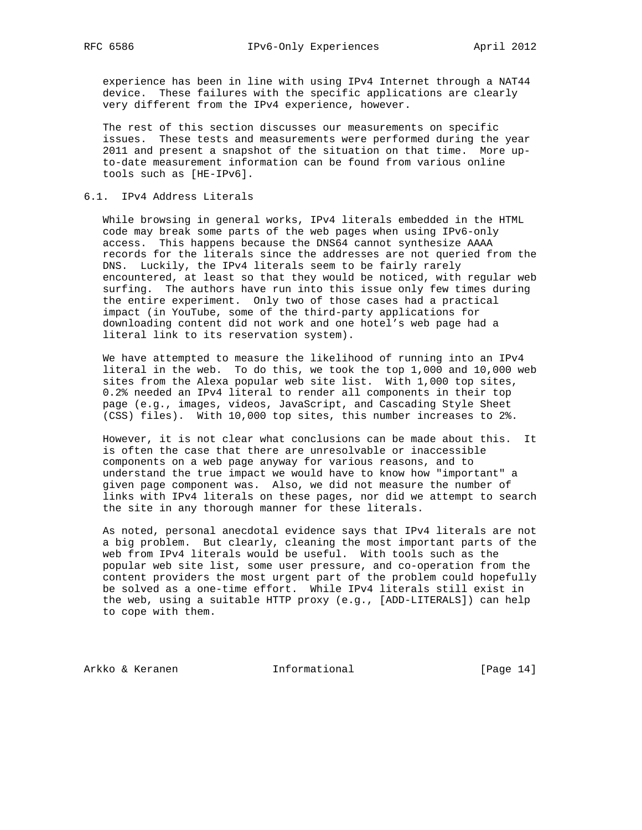experience has been in line with using IPv4 Internet through a NAT44 device. These failures with the specific applications are clearly very different from the IPv4 experience, however.

 The rest of this section discusses our measurements on specific issues. These tests and measurements were performed during the year 2011 and present a snapshot of the situation on that time. More up to-date measurement information can be found from various online tools such as [HE-IPv6].

# 6.1. IPv4 Address Literals

 While browsing in general works, IPv4 literals embedded in the HTML code may break some parts of the web pages when using IPv6-only access. This happens because the DNS64 cannot synthesize AAAA records for the literals since the addresses are not queried from the DNS. Luckily, the IPv4 literals seem to be fairly rarely encountered, at least so that they would be noticed, with regular web surfing. The authors have run into this issue only few times during the entire experiment. Only two of those cases had a practical impact (in YouTube, some of the third-party applications for downloading content did not work and one hotel's web page had a literal link to its reservation system).

 We have attempted to measure the likelihood of running into an IPv4 literal in the web. To do this, we took the top 1,000 and 10,000 web sites from the Alexa popular web site list. With 1,000 top sites, 0.2% needed an IPv4 literal to render all components in their top page (e.g., images, videos, JavaScript, and Cascading Style Sheet (CSS) files). With 10,000 top sites, this number increases to 2%.

 However, it is not clear what conclusions can be made about this. It is often the case that there are unresolvable or inaccessible components on a web page anyway for various reasons, and to understand the true impact we would have to know how "important" a given page component was. Also, we did not measure the number of links with IPv4 literals on these pages, nor did we attempt to search the site in any thorough manner for these literals.

 As noted, personal anecdotal evidence says that IPv4 literals are not a big problem. But clearly, cleaning the most important parts of the web from IPv4 literals would be useful. With tools such as the popular web site list, some user pressure, and co-operation from the content providers the most urgent part of the problem could hopefully be solved as a one-time effort. While IPv4 literals still exist in the web, using a suitable HTTP proxy (e.g., [ADD-LITERALS]) can help to cope with them.

Arkko & Keranen 1nformational [Page 14]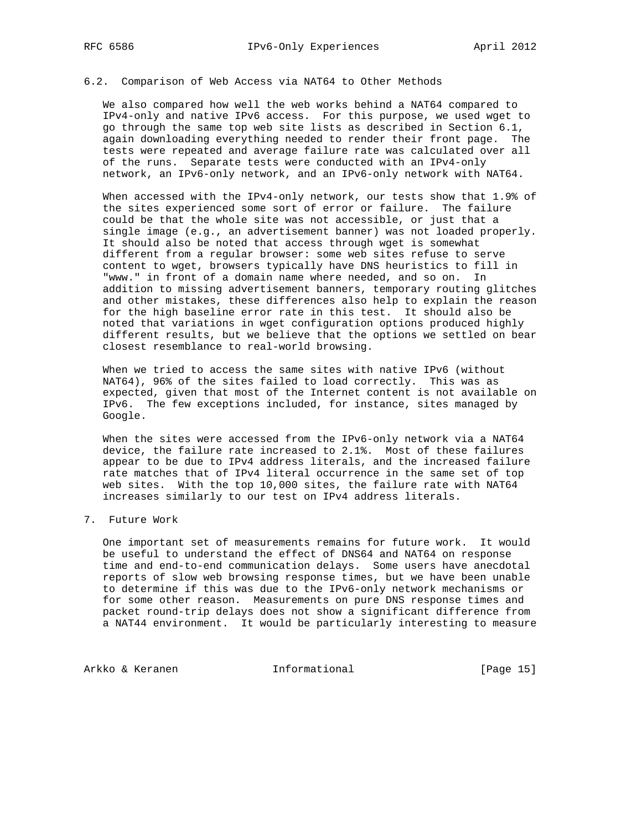# 6.2. Comparison of Web Access via NAT64 to Other Methods

 We also compared how well the web works behind a NAT64 compared to IPv4-only and native IPv6 access. For this purpose, we used wget to go through the same top web site lists as described in Section 6.1, again downloading everything needed to render their front page. The tests were repeated and average failure rate was calculated over all of the runs. Separate tests were conducted with an IPv4-only network, an IPv6-only network, and an IPv6-only network with NAT64.

 When accessed with the IPv4-only network, our tests show that 1.9% of the sites experienced some sort of error or failure. The failure could be that the whole site was not accessible, or just that a single image (e.g., an advertisement banner) was not loaded properly. It should also be noted that access through wget is somewhat different from a regular browser: some web sites refuse to serve content to wget, browsers typically have DNS heuristics to fill in "www." in front of a domain name where needed, and so on. In addition to missing advertisement banners, temporary routing glitches and other mistakes, these differences also help to explain the reason for the high baseline error rate in this test. It should also be noted that variations in wget configuration options produced highly different results, but we believe that the options we settled on bear closest resemblance to real-world browsing.

 When we tried to access the same sites with native IPv6 (without NAT64), 96% of the sites failed to load correctly. This was as expected, given that most of the Internet content is not available on IPv6. The few exceptions included, for instance, sites managed by Google.

When the sites were accessed from the IPv6-only network via a NAT64 device, the failure rate increased to 2.1%. Most of these failures appear to be due to IPv4 address literals, and the increased failure rate matches that of IPv4 literal occurrence in the same set of top web sites. With the top 10,000 sites, the failure rate with NAT64 increases similarly to our test on IPv4 address literals.

# 7. Future Work

 One important set of measurements remains for future work. It would be useful to understand the effect of DNS64 and NAT64 on response time and end-to-end communication delays. Some users have anecdotal reports of slow web browsing response times, but we have been unable to determine if this was due to the IPv6-only network mechanisms or for some other reason. Measurements on pure DNS response times and packet round-trip delays does not show a significant difference from a NAT44 environment. It would be particularly interesting to measure

Arkko & Keranen 1nformational [Page 15]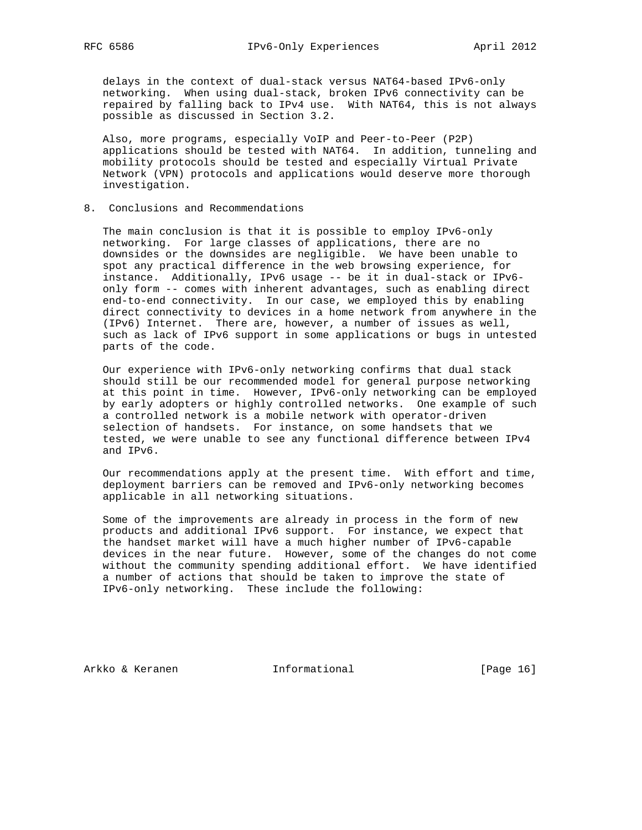delays in the context of dual-stack versus NAT64-based IPv6-only networking. When using dual-stack, broken IPv6 connectivity can be repaired by falling back to IPv4 use. With NAT64, this is not always possible as discussed in Section 3.2.

 Also, more programs, especially VoIP and Peer-to-Peer (P2P) applications should be tested with NAT64. In addition, tunneling and mobility protocols should be tested and especially Virtual Private Network (VPN) protocols and applications would deserve more thorough investigation.

#### 8. Conclusions and Recommendations

 The main conclusion is that it is possible to employ IPv6-only networking. For large classes of applications, there are no downsides or the downsides are negligible. We have been unable to spot any practical difference in the web browsing experience, for instance. Additionally, IPv6 usage -- be it in dual-stack or IPv6 only form -- comes with inherent advantages, such as enabling direct end-to-end connectivity. In our case, we employed this by enabling direct connectivity to devices in a home network from anywhere in the (IPv6) Internet. There are, however, a number of issues as well, such as lack of IPv6 support in some applications or bugs in untested parts of the code.

 Our experience with IPv6-only networking confirms that dual stack should still be our recommended model for general purpose networking at this point in time. However, IPv6-only networking can be employed by early adopters or highly controlled networks. One example of such a controlled network is a mobile network with operator-driven selection of handsets. For instance, on some handsets that we tested, we were unable to see any functional difference between IPv4 and IPv6.

 Our recommendations apply at the present time. With effort and time, deployment barriers can be removed and IPv6-only networking becomes applicable in all networking situations.

 Some of the improvements are already in process in the form of new products and additional IPv6 support. For instance, we expect that the handset market will have a much higher number of IPv6-capable devices in the near future. However, some of the changes do not come without the community spending additional effort. We have identified a number of actions that should be taken to improve the state of IPv6-only networking. These include the following:

Arkko & Keranen 1nformational [Page 16]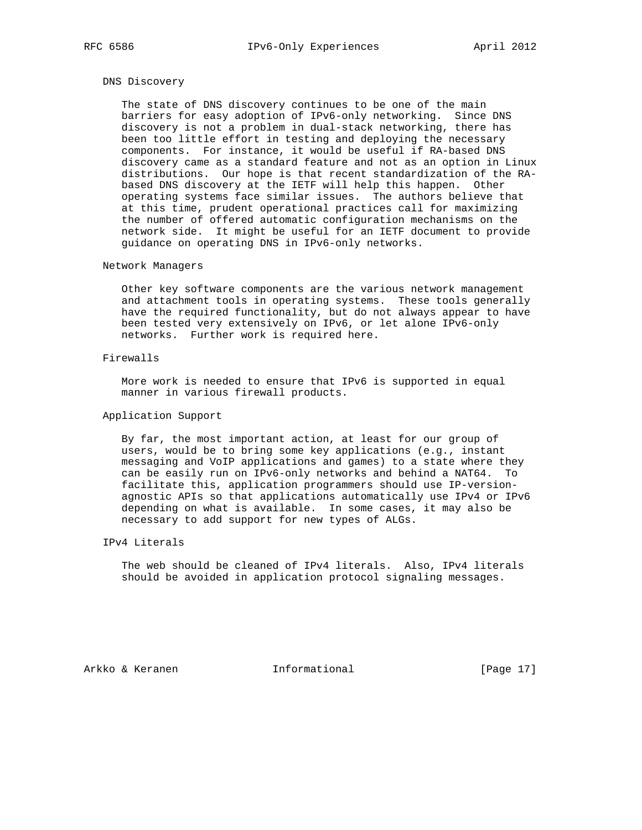# DNS Discovery

 The state of DNS discovery continues to be one of the main barriers for easy adoption of IPv6-only networking. Since DNS discovery is not a problem in dual-stack networking, there has been too little effort in testing and deploying the necessary components. For instance, it would be useful if RA-based DNS discovery came as a standard feature and not as an option in Linux distributions. Our hope is that recent standardization of the RA based DNS discovery at the IETF will help this happen. Other operating systems face similar issues. The authors believe that at this time, prudent operational practices call for maximizing the number of offered automatic configuration mechanisms on the network side. It might be useful for an IETF document to provide guidance on operating DNS in IPv6-only networks.

## Network Managers

 Other key software components are the various network management and attachment tools in operating systems. These tools generally have the required functionality, but do not always appear to have been tested very extensively on IPv6, or let alone IPv6-only networks. Further work is required here.

#### Firewalls

 More work is needed to ensure that IPv6 is supported in equal manner in various firewall products.

# Application Support

 By far, the most important action, at least for our group of users, would be to bring some key applications (e.g., instant messaging and VoIP applications and games) to a state where they can be easily run on IPv6-only networks and behind a NAT64. To facilitate this, application programmers should use IP-version agnostic APIs so that applications automatically use IPv4 or IPv6 depending on what is available. In some cases, it may also be necessary to add support for new types of ALGs.

# IPv4 Literals

 The web should be cleaned of IPv4 literals. Also, IPv4 literals should be avoided in application protocol signaling messages.

Arkko & Keranen 1nformational [Page 17]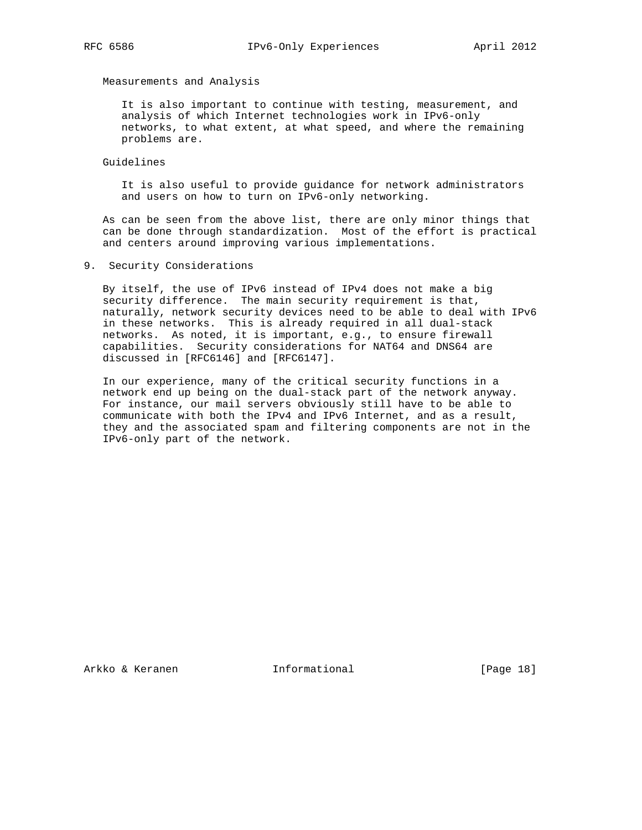Measurements and Analysis

 It is also important to continue with testing, measurement, and analysis of which Internet technologies work in IPv6-only networks, to what extent, at what speed, and where the remaining problems are.

Guidelines

 It is also useful to provide guidance for network administrators and users on how to turn on IPv6-only networking.

 As can be seen from the above list, there are only minor things that can be done through standardization. Most of the effort is practical and centers around improving various implementations.

9. Security Considerations

 By itself, the use of IPv6 instead of IPv4 does not make a big security difference. The main security requirement is that, naturally, network security devices need to be able to deal with IPv6 in these networks. This is already required in all dual-stack networks. As noted, it is important, e.g., to ensure firewall capabilities. Security considerations for NAT64 and DNS64 are discussed in [RFC6146] and [RFC6147].

 In our experience, many of the critical security functions in a network end up being on the dual-stack part of the network anyway. For instance, our mail servers obviously still have to be able to communicate with both the IPv4 and IPv6 Internet, and as a result, they and the associated spam and filtering components are not in the IPv6-only part of the network.

Arkko & Keranen 1nformational [Page 18]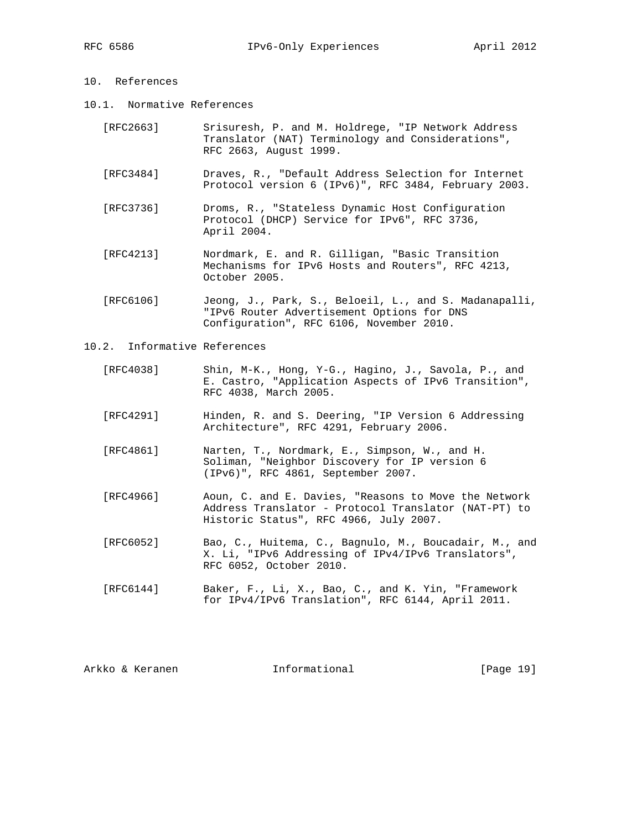# 10. References

- 10.1. Normative References
	- [RFC2663] Srisuresh, P. and M. Holdrege, "IP Network Address Translator (NAT) Terminology and Considerations", RFC 2663, August 1999.
	- [RFC3484] Draves, R., "Default Address Selection for Internet Protocol version 6 (IPv6)", RFC 3484, February 2003.
	- [RFC3736] Droms, R., "Stateless Dynamic Host Configuration Protocol (DHCP) Service for IPv6", RFC 3736, April 2004.
	- [RFC4213] Nordmark, E. and R. Gilligan, "Basic Transition Mechanisms for IPv6 Hosts and Routers", RFC 4213, October 2005.
	- [RFC6106] Jeong, J., Park, S., Beloeil, L., and S. Madanapalli, "IPv6 Router Advertisement Options for DNS Configuration", RFC 6106, November 2010.
- 10.2. Informative References
	- [RFC4038] Shin, M-K., Hong, Y-G., Hagino, J., Savola, P., and E. Castro, "Application Aspects of IPv6 Transition", RFC 4038, March 2005.
	- [RFC4291] Hinden, R. and S. Deering, "IP Version 6 Addressing Architecture", RFC 4291, February 2006.
	- [RFC4861] Narten, T., Nordmark, E., Simpson, W., and H. Soliman, "Neighbor Discovery for IP version 6 (IPv6)", RFC 4861, September 2007.
	- [RFC4966] Aoun, C. and E. Davies, "Reasons to Move the Network Address Translator - Protocol Translator (NAT-PT) to Historic Status", RFC 4966, July 2007.
	- [RFC6052] Bao, C., Huitema, C., Bagnulo, M., Boucadair, M., and X. Li, "IPv6 Addressing of IPv4/IPv6 Translators", RFC 6052, October 2010.
	- [RFC6144] Baker, F., Li, X., Bao, C., and K. Yin, "Framework for IPv4/IPv6 Translation", RFC 6144, April 2011.

| Arkko & Keranen | Informational | [Page 19] |  |
|-----------------|---------------|-----------|--|
|                 |               |           |  |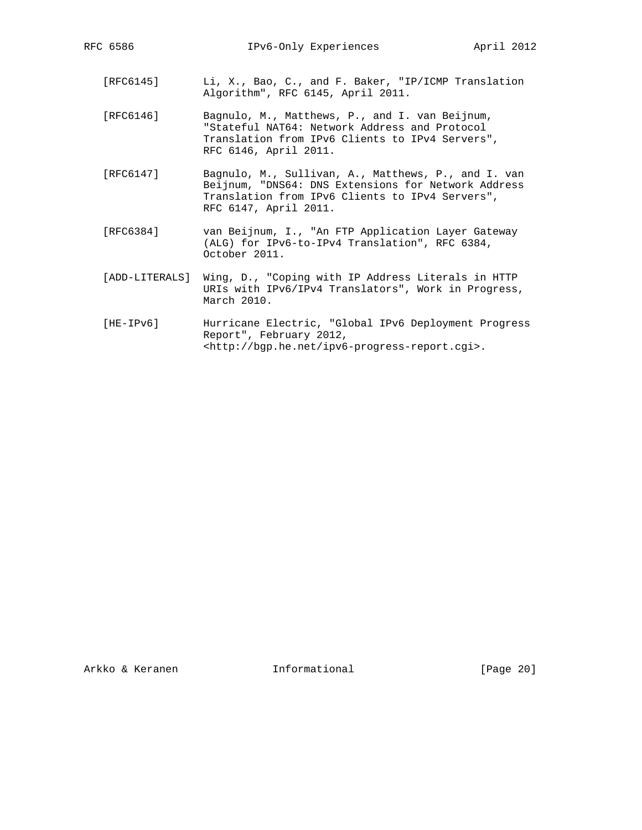- [RFC6145] Li, X., Bao, C., and F. Baker, "IP/ICMP Translation Algorithm", RFC 6145, April 2011.
- [RFC6146] Bagnulo, M., Matthews, P., and I. van Beijnum, "Stateful NAT64: Network Address and Protocol Translation from IPv6 Clients to IPv4 Servers", RFC 6146, April 2011.
- [RFC6147] Bagnulo, M., Sullivan, A., Matthews, P., and I. van Beijnum, "DNS64: DNS Extensions for Network Address Translation from IPv6 Clients to IPv4 Servers", RFC 6147, April 2011.
- [RFC6384] van Beijnum, I., "An FTP Application Layer Gateway (ALG) for IPv6-to-IPv4 Translation", RFC 6384, October 2011.
- [ADD-LITERALS] Wing, D., "Coping with IP Address Literals in HTTP URIs with IPv6/IPv4 Translators", Work in Progress, March 2010.
- [HE-IPv6] Hurricane Electric, "Global IPv6 Deployment Progress Report", February 2012, <http://bgp.he.net/ipv6-progress-report.cgi>.